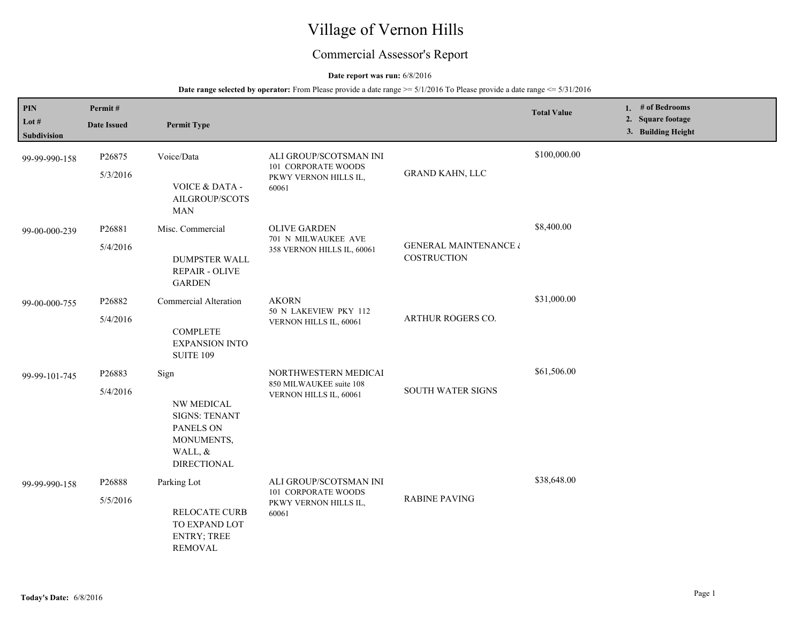# Village of Vernon Hills

## Commercial Assessor's Report

#### **Date report was run:** 6/8/2016

| PIN<br>Lot $#$<br><b>Subdivision</b> | Permit#<br><b>Date Issued</b> | <b>Permit Type</b>                                                                                     |                                                                                        |                                                 | <b>Total Value</b> | 1. # of Bedrooms<br>2. Square footage<br>3. Building Height |
|--------------------------------------|-------------------------------|--------------------------------------------------------------------------------------------------------|----------------------------------------------------------------------------------------|-------------------------------------------------|--------------------|-------------------------------------------------------------|
| 99-99-990-158                        | P26875<br>5/3/2016            | Voice/Data<br><b>VOICE &amp; DATA -</b><br>AILGROUP/SCOTS<br><b>MAN</b>                                | ALI GROUP/SCOTSMAN INI<br><b>101 CORPORATE WOODS</b><br>PKWY VERNON HILLS IL,<br>60061 | <b>GRAND KAHN, LLC</b>                          | \$100,000.00       |                                                             |
| 99-00-000-239                        | P26881<br>5/4/2016            | Misc. Commercial<br><b>DUMPSTER WALL</b><br>REPAIR - OLIVE<br><b>GARDEN</b>                            | <b>OLIVE GARDEN</b><br>701 N MILWAUKEE AVE<br>358 VERNON HILLS IL, 60061               | <b>GENERAL MAINTENANCE &amp;</b><br>COSTRUCTION | \$8,400.00         |                                                             |
| 99-00-000-755                        | P26882<br>5/4/2016            | Commercial Alteration<br><b>COMPLETE</b><br><b>EXPANSION INTO</b><br><b>SUITE 109</b>                  | <b>AKORN</b><br>50 N LAKEVIEW PKY 112<br>VERNON HILLS IL, 60061                        | ARTHUR ROGERS CO.                               | \$31,000.00        |                                                             |
| 99-99-101-745                        | P26883<br>5/4/2016            | Sign<br>NW MEDICAL<br><b>SIGNS: TENANT</b><br>PANELS ON<br>MONUMENTS,<br>WALL, &<br><b>DIRECTIONAL</b> | NORTHWESTERN MEDICAI<br>850 MILWAUKEE suite 108<br>VERNON HILLS IL, 60061              | <b>SOUTH WATER SIGNS</b>                        | \$61,506.00        |                                                             |
| 99-99-990-158                        | P26888<br>5/5/2016            | Parking Lot<br><b>RELOCATE CURB</b><br>TO EXPAND LOT<br><b>ENTRY; TREE</b><br><b>REMOVAL</b>           | ALI GROUP/SCOTSMAN INI<br>101 CORPORATE WOODS<br>PKWY VERNON HILLS IL,<br>60061        | <b>RABINE PAVING</b>                            | \$38,648.00        |                                                             |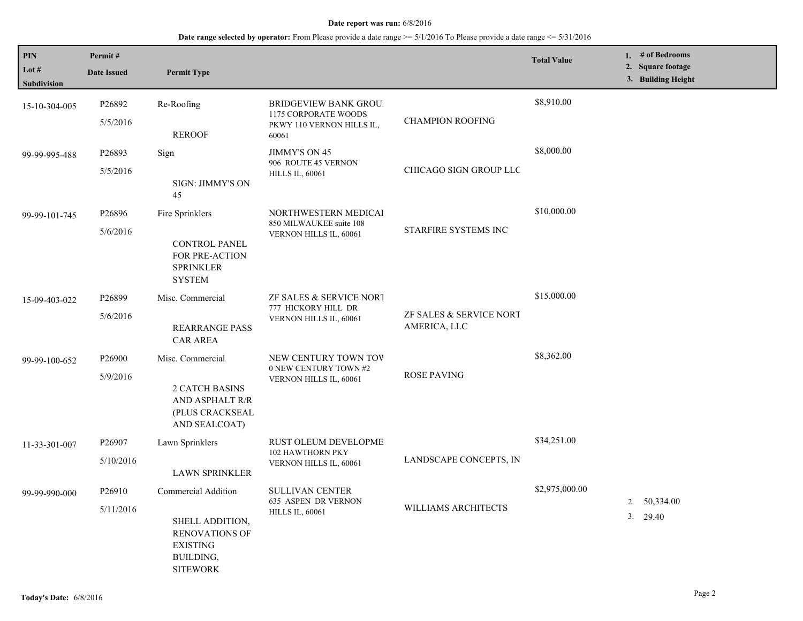| <b>PIN</b><br>Lot $#$<br>Subdivision | Permit#<br><b>Date Issued</b>  | <b>Permit Type</b>                                                                                                 |                                                                                            |                                         | <b>Total Value</b> | 1. $#$ of Bedrooms<br>2. Square footage<br>3. Building Height |
|--------------------------------------|--------------------------------|--------------------------------------------------------------------------------------------------------------------|--------------------------------------------------------------------------------------------|-----------------------------------------|--------------------|---------------------------------------------------------------|
| 15-10-304-005                        | P <sub>26892</sub><br>5/5/2016 | Re-Roofing<br><b>REROOF</b>                                                                                        | <b>BRIDGEVIEW BANK GROU!</b><br>1175 CORPORATE WOODS<br>PKWY 110 VERNON HILLS IL,<br>60061 | <b>CHAMPION ROOFING</b>                 | \$8,910.00         |                                                               |
| 99-99-995-488                        | P26893<br>5/5/2016             | Sign<br>SIGN: JIMMY'S ON<br>45                                                                                     | JIMMY'S ON 45<br>906 ROUTE 45 VERNON<br><b>HILLS IL, 60061</b>                             | CHICAGO SIGN GROUP LLC                  | \$8,000.00         |                                                               |
| 99-99-101-745                        | P <sub>26896</sub><br>5/6/2016 | Fire Sprinklers<br>CONTROL PANEL<br>FOR PRE-ACTION<br><b>SPRINKLER</b><br><b>SYSTEM</b>                            | NORTHWESTERN MEDICAI<br>850 MILWAUKEE suite 108<br>VERNON HILLS IL, 60061                  | STARFIRE SYSTEMS INC                    | \$10,000.00        |                                                               |
| 15-09-403-022                        | P <sub>26899</sub><br>5/6/2016 | Misc. Commercial<br><b>REARRANGE PASS</b><br><b>CAR AREA</b>                                                       | ZF SALES & SERVICE NORT<br>777 HICKORY HILL DR<br>VERNON HILLS IL, 60061                   | ZF SALES & SERVICE NORT<br>AMERICA, LLC | \$15,000.00        |                                                               |
| 99-99-100-652                        | P26900<br>5/9/2016             | Misc. Commercial<br><b>2 CATCH BASINS</b><br>AND ASPHALT R/R<br>(PLUS CRACKSEAL<br>AND SEALCOAT)                   | NEW CENTURY TOWN TOV<br>0 NEW CENTURY TOWN #2<br>VERNON HILLS IL, 60061                    | <b>ROSE PAVING</b>                      | \$8,362.00         |                                                               |
| 11-33-301-007                        | P26907<br>5/10/2016            | Lawn Sprinklers<br><b>LAWN SPRINKLER</b>                                                                           | <b>RUST OLEUM DEVELOPME</b><br>102 HAWTHORN PKY<br>VERNON HILLS IL, 60061                  | LANDSCAPE CONCEPTS, IN                  | \$34,251.00        |                                                               |
| 99-99-990-000                        | P26910<br>5/11/2016            | Commercial Addition<br>SHELL ADDITION,<br><b>RENOVATIONS OF</b><br><b>EXISTING</b><br>BUILDING,<br><b>SITEWORK</b> | <b>SULLIVAN CENTER</b><br>635 ASPEN DR VERNON<br><b>HILLS IL, 60061</b>                    | <b>WILLIAMS ARCHITECTS</b>              | \$2,975,000.00     | 50,334.00<br>2.<br>3. 29.40                                   |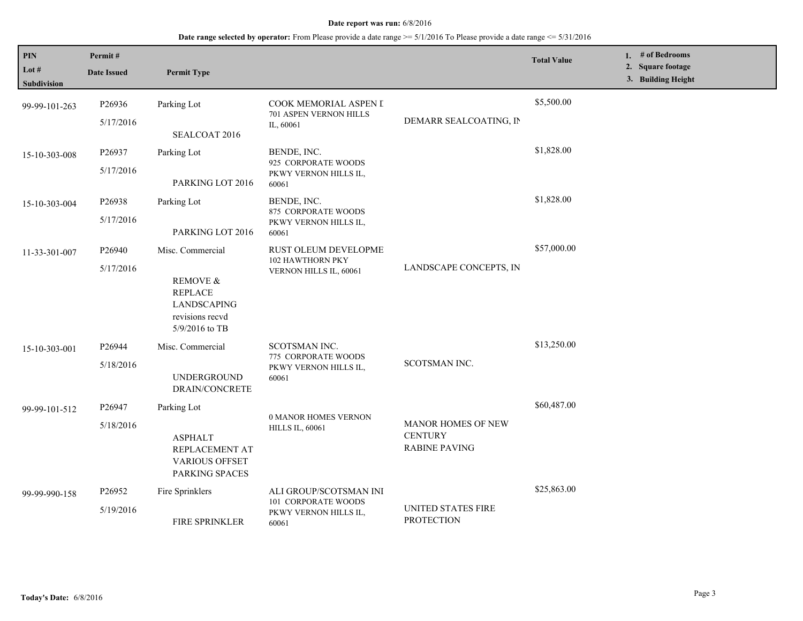| PIN<br>Lot #<br>Subdivision | Permit#<br><b>Date Issued</b> | <b>Permit Type</b>                                                                                                   |                                                                                 |                                                              | <b>Total Value</b> | 1. # of Bedrooms<br>2. Square footage<br>3. Building Height |
|-----------------------------|-------------------------------|----------------------------------------------------------------------------------------------------------------------|---------------------------------------------------------------------------------|--------------------------------------------------------------|--------------------|-------------------------------------------------------------|
| 99-99-101-263               | P26936<br>5/17/2016           | Parking Lot<br>SEALCOAT 2016                                                                                         | COOK MEMORIAL ASPEN I<br>701 ASPEN VERNON HILLS<br>IL, 60061                    | DEMARR SEALCOATING, IN                                       | \$5,500.00         |                                                             |
| 15-10-303-008               | P26937<br>5/17/2016           | Parking Lot<br>PARKING LOT 2016                                                                                      | BENDE, INC.<br>925 CORPORATE WOODS<br>PKWY VERNON HILLS IL,<br>60061            |                                                              | \$1,828.00         |                                                             |
| 15-10-303-004               | P26938<br>5/17/2016           | Parking Lot<br>PARKING LOT 2016                                                                                      | BENDE, INC.<br>875 CORPORATE WOODS<br>PKWY VERNON HILLS IL,<br>60061            |                                                              | \$1,828.00         |                                                             |
| 11-33-301-007               | P26940<br>5/17/2016           | Misc. Commercial<br><b>REMOVE &amp;</b><br><b>REPLACE</b><br><b>LANDSCAPING</b><br>revisions recvd<br>5/9/2016 to TB | RUST OLEUM DEVELOPME<br>102 HAWTHORN PKY<br>VERNON HILLS IL, 60061              | LANDSCAPE CONCEPTS, IN                                       | \$57,000.00        |                                                             |
| 15-10-303-001               | P26944<br>5/18/2016           | Misc. Commercial<br><b>UNDERGROUND</b><br>DRAIN/CONCRETE                                                             | SCOTSMAN INC.<br>775 CORPORATE WOODS<br>PKWY VERNON HILLS IL,<br>60061          | SCOTSMAN INC.                                                | \$13,250.00        |                                                             |
| 99-99-101-512               | P26947<br>5/18/2016           | Parking Lot<br><b>ASPHALT</b><br>REPLACEMENT AT<br><b>VARIOUS OFFSET</b><br>PARKING SPACES                           | 0 MANOR HOMES VERNON<br><b>HILLS IL, 60061</b>                                  | MANOR HOMES OF NEW<br><b>CENTURY</b><br><b>RABINE PAVING</b> | \$60,487.00        |                                                             |
| 99-99-990-158               | P26952<br>5/19/2016           | Fire Sprinklers<br><b>FIRE SPRINKLER</b>                                                                             | ALI GROUP/SCOTSMAN INI<br>101 CORPORATE WOODS<br>PKWY VERNON HILLS IL,<br>60061 | <b>UNITED STATES FIRE</b><br><b>PROTECTION</b>               | \$25,863.00        |                                                             |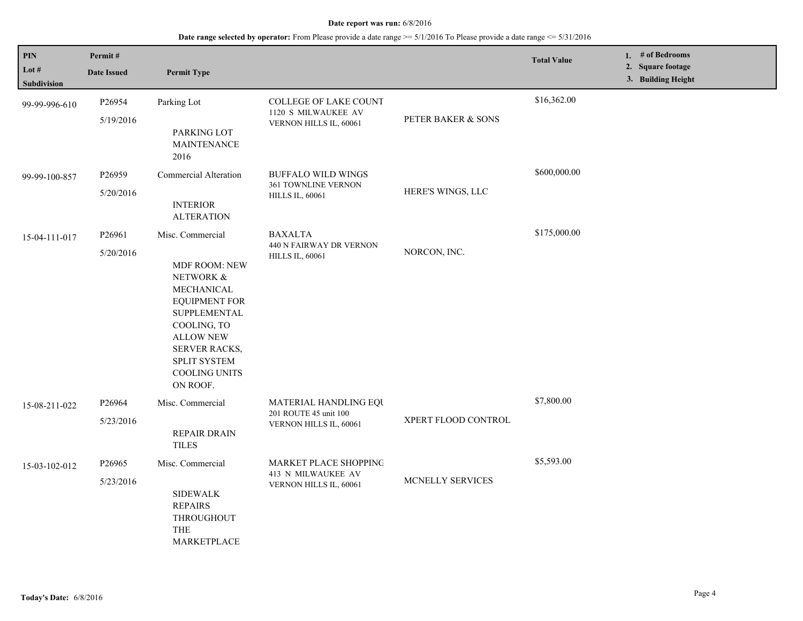| <b>PIN</b>             | Permit#                         |                                                                                                                                                                                                                            |                                                                               |                     | <b>Total Value</b> | 1. $#$ of Bedrooms<br>2. Square footage |
|------------------------|---------------------------------|----------------------------------------------------------------------------------------------------------------------------------------------------------------------------------------------------------------------------|-------------------------------------------------------------------------------|---------------------|--------------------|-----------------------------------------|
| Lot $#$<br>Subdivision | <b>Date Issued</b>              | <b>Permit Type</b>                                                                                                                                                                                                         |                                                                               |                     |                    | 3. Building Height                      |
| 99-99-996-610          | P26954<br>5/19/2016             | Parking Lot<br>PARKING LOT<br><b>MAINTENANCE</b><br>2016                                                                                                                                                                   | <b>COLLEGE OF LAKE COUNT</b><br>1120 S MILWAUKEE AV<br>VERNON HILLS IL, 60061 | PETER BAKER & SONS  | \$16,362.00        |                                         |
| 99-99-100-857          | P <sub>26959</sub><br>5/20/2016 | <b>Commercial Alteration</b><br><b>INTERIOR</b><br><b>ALTERATION</b>                                                                                                                                                       | <b>BUFFALO WILD WINGS</b><br>361 TOWNLINE VERNON<br><b>HILLS IL, 60061</b>    | HERE'S WINGS, LLC   | \$600,000.00       |                                         |
| 15-04-111-017          | P26961<br>5/20/2016             | Misc. Commercial<br><b>MDF ROOM: NEW</b><br>NETWORK &<br>MECHANICAL<br><b>EQUIPMENT FOR</b><br>SUPPLEMENTAL<br>COOLING, TO<br><b>ALLOW NEW</b><br>SERVER RACKS,<br><b>SPLIT SYSTEM</b><br><b>COOLING UNITS</b><br>ON ROOF. | <b>BAXALTA</b><br>440 N FAIRWAY DR VERNON<br><b>HILLS IL, 60061</b>           | NORCON, INC.        | \$175,000.00       |                                         |
| 15-08-211-022          | P26964<br>5/23/2016             | Misc. Commercial<br><b>REPAIR DRAIN</b><br><b>TILES</b>                                                                                                                                                                    | MATERIAL HANDLING EQU<br>201 ROUTE 45 unit 100<br>VERNON HILLS IL, 60061      | XPERT FLOOD CONTROL | \$7,800.00         |                                         |
| 15-03-102-012          | P26965<br>5/23/2016             | Misc. Commercial<br><b>SIDEWALK</b><br><b>REPAIRS</b><br>THROUGHOUT<br><b>THE</b><br>MARKETPLACE                                                                                                                           | MARKET PLACE SHOPPING<br>413 N MILWAUKEE AV<br>VERNON HILLS IL, 60061         | MCNELLY SERVICES    | \$5,593.00         |                                         |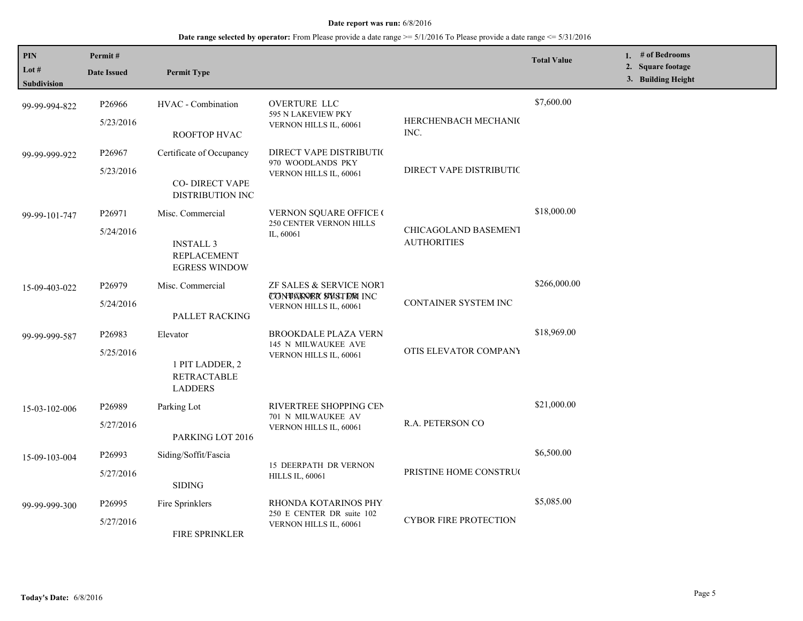| PIN<br>Lot #<br><b>Subdivision</b> | Permit#<br><b>Date Issued</b> | <b>Permit Type</b>                                      |                                                                                  |                                            | <b>Total Value</b> | # of Bedrooms<br>1.<br>2. Square footage<br>3. Building Height |
|------------------------------------|-------------------------------|---------------------------------------------------------|----------------------------------------------------------------------------------|--------------------------------------------|--------------------|----------------------------------------------------------------|
| 99-99-994-822                      | P26966                        | HVAC - Combination                                      | <b>OVERTURE LLC</b><br>595 N LAKEVIEW PKY                                        |                                            | \$7,600.00         |                                                                |
|                                    | 5/23/2016                     | ROOFTOP HVAC                                            | VERNON HILLS IL, 60061                                                           | HERCHENBACH MECHANIC<br>INC.               |                    |                                                                |
| 99-99-999-922                      | P <sub>26967</sub>            | Certificate of Occupancy                                | DIRECT VAPE DISTRIBUTION<br>970 WOODLANDS PKY                                    | DIRECT VAPE DISTRIBUTIC                    |                    |                                                                |
|                                    | 5/23/2016                     | CO-DIRECT VAPE<br>DISTRIBUTION INC                      | VERNON HILLS IL, 60061                                                           |                                            |                    |                                                                |
| 99-99-101-747                      | P26971                        | Misc. Commercial                                        | VERNON SQUARE OFFICE (                                                           | CHICAGOLAND BASEMENT<br><b>AUTHORITIES</b> | \$18,000.00        |                                                                |
|                                    | 5/24/2016                     | <b>INSTALL 3</b><br>REPLACEMENT<br><b>EGRESS WINDOW</b> | 250 CENTER VERNON HILLS<br>IL, 60061                                             |                                            |                    |                                                                |
| 15-09-403-022                      | P26979                        | Misc. Commercial                                        | ZF SALES & SERVICE NORT<br><b>CONTAKORR SHSTER INC</b><br>VERNON HILLS IL, 60061 | CONTAINER SYSTEM INC                       | \$266,000.00       |                                                                |
|                                    | 5/24/2016                     | PALLET RACKING                                          |                                                                                  |                                            |                    |                                                                |
| 99-99-999-587                      | P26983                        | Elevator                                                | <b>BROOKDALE PLAZA VERN</b><br>145 N MILWAUKEE AVE<br>VERNON HILLS IL, 60061     | OTIS ELEVATOR COMPANY                      | \$18,969.00        |                                                                |
|                                    | 5/25/2016                     | 1 PIT LADDER, 2<br><b>RETRACTABLE</b><br><b>LADDERS</b> |                                                                                  |                                            |                    |                                                                |
| 15-03-102-006                      | P <sub>26989</sub>            | Parking Lot                                             | RIVERTREE SHOPPING CEN                                                           |                                            | \$21,000.00        |                                                                |
|                                    | 5/27/2016<br>PARKING LOT 2016 | 701 N MILWAUKEE AV<br>VERNON HILLS IL, 60061            | R.A. PETERSON CO                                                                 |                                            |                    |                                                                |
| 15-09-103-004                      | P26993                        | Siding/Soffit/Fascia                                    | <b>15 DEERPATH DR VERNON</b>                                                     | PRISTINE HOME CONSTRUC                     | \$6,500.00         |                                                                |
|                                    | 5/27/2016                     | <b>SIDING</b>                                           | <b>HILLS IL, 60061</b>                                                           |                                            |                    |                                                                |
| 99-99-999-300                      | P26995                        | Fire Sprinklers                                         | RHONDA KOTARINOS PHY<br>250 E CENTER DR suite 102                                |                                            | \$5,085.00         |                                                                |
|                                    | 5/27/2016                     | FIRE SPRINKLER                                          | VERNON HILLS IL, 60061                                                           | <b>CYBOR FIRE PROTECTION</b>               |                    |                                                                |